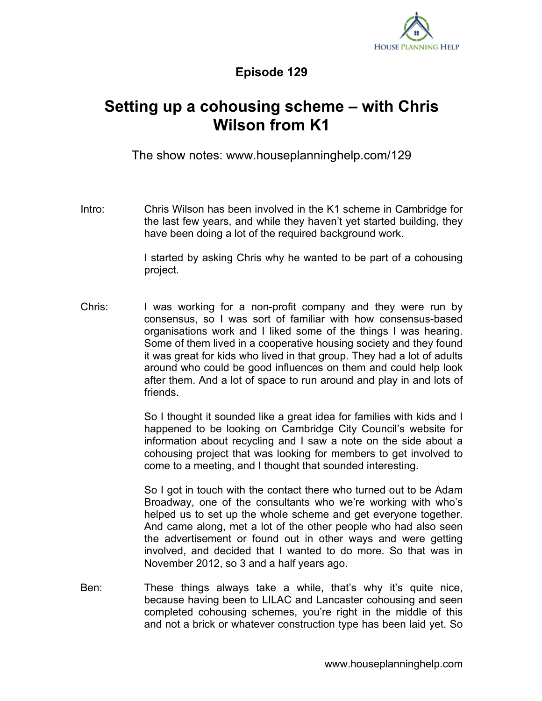

## **Episode 129**

## **Setting up a cohousing scheme – with Chris Wilson from K1**

The show notes: www.houseplanninghelp.com/129

Intro: Chris Wilson has been involved in the K1 scheme in Cambridge for the last few years, and while they haven't yet started building, they have been doing a lot of the required background work.

> I started by asking Chris why he wanted to be part of a cohousing project.

Chris: I was working for a non-profit company and they were run by consensus, so I was sort of familiar with how consensus-based organisations work and I liked some of the things I was hearing. Some of them lived in a cooperative housing society and they found it was great for kids who lived in that group. They had a lot of adults around who could be good influences on them and could help look after them. And a lot of space to run around and play in and lots of friends.

> So I thought it sounded like a great idea for families with kids and I happened to be looking on Cambridge City Council's website for information about recycling and I saw a note on the side about a cohousing project that was looking for members to get involved to come to a meeting, and I thought that sounded interesting.

> So I got in touch with the contact there who turned out to be Adam Broadway, one of the consultants who we're working with who's helped us to set up the whole scheme and get everyone together. And came along, met a lot of the other people who had also seen the advertisement or found out in other ways and were getting involved, and decided that I wanted to do more. So that was in November 2012, so 3 and a half years ago.

Ben: These things always take a while, that's why it's quite nice, because having been to LILAC and Lancaster cohousing and seen completed cohousing schemes, you're right in the middle of this and not a brick or whatever construction type has been laid yet. So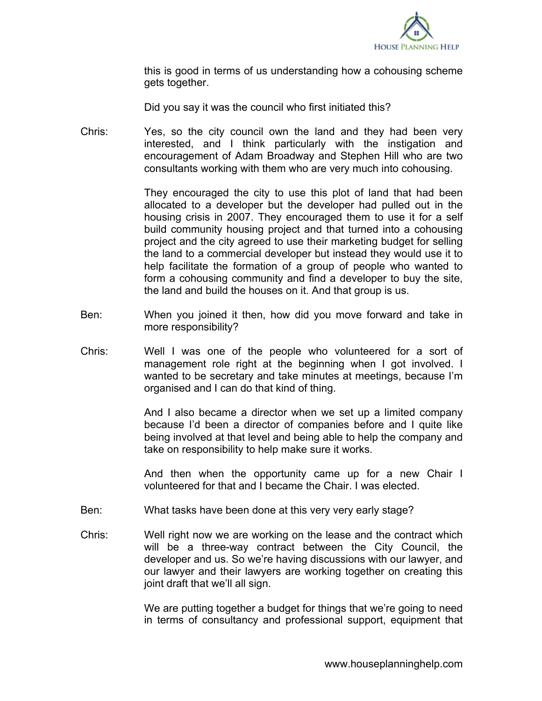

this is good in terms of us understanding how a cohousing scheme gets together.

Did you say it was the council who first initiated this?

Chris: Yes, so the city council own the land and they had been very interested, and I think particularly with the instigation and encouragement of Adam Broadway and Stephen Hill who are two consultants working with them who are very much into cohousing.

> They encouraged the city to use this plot of land that had been allocated to a developer but the developer had pulled out in the housing crisis in 2007. They encouraged them to use it for a self build community housing project and that turned into a cohousing project and the city agreed to use their marketing budget for selling the land to a commercial developer but instead they would use it to help facilitate the formation of a group of people who wanted to form a cohousing community and find a developer to buy the site, the land and build the houses on it. And that group is us.

- Ben: When you joined it then, how did you move forward and take in more responsibility?
- Chris: Well I was one of the people who volunteered for a sort of management role right at the beginning when I got involved. I wanted to be secretary and take minutes at meetings, because I'm organised and I can do that kind of thing.

And I also became a director when we set up a limited company because I'd been a director of companies before and I quite like being involved at that level and being able to help the company and take on responsibility to help make sure it works.

And then when the opportunity came up for a new Chair I volunteered for that and I became the Chair. I was elected.

- Ben: What tasks have been done at this very very early stage?
- Chris: Well right now we are working on the lease and the contract which will be a three-way contract between the City Council, the developer and us. So we're having discussions with our lawyer, and our lawyer and their lawyers are working together on creating this joint draft that we'll all sign.

We are putting together a budget for things that we're going to need in terms of consultancy and professional support, equipment that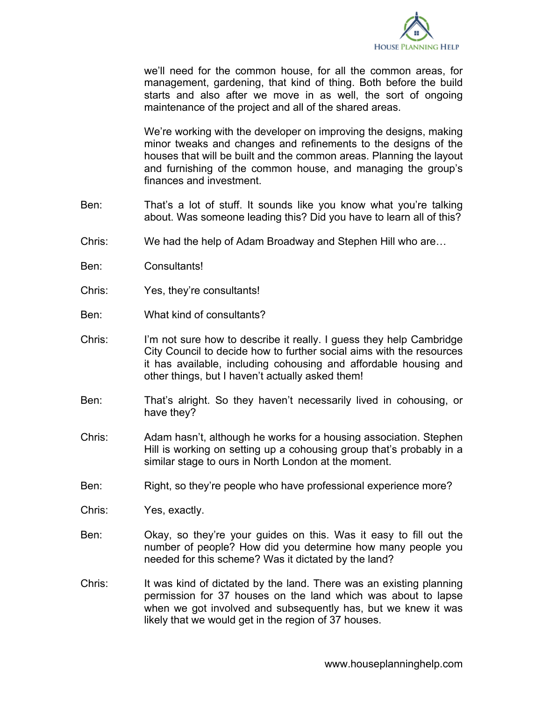

we'll need for the common house, for all the common areas, for management, gardening, that kind of thing. Both before the build starts and also after we move in as well, the sort of ongoing maintenance of the project and all of the shared areas.

We're working with the developer on improving the designs, making minor tweaks and changes and refinements to the designs of the houses that will be built and the common areas. Planning the layout and furnishing of the common house, and managing the group's finances and investment.

- Ben: That's a lot of stuff. It sounds like you know what you're talking about. Was someone leading this? Did you have to learn all of this?
- Chris: We had the help of Adam Broadway and Stephen Hill who are…
- Ben: Consultants!
- Chris: Yes, they're consultants!
- Ben: What kind of consultants?
- Chris: I'm not sure how to describe it really. I guess they help Cambridge City Council to decide how to further social aims with the resources it has available, including cohousing and affordable housing and other things, but I haven't actually asked them!
- Ben: That's alright. So they haven't necessarily lived in cohousing, or have they?
- Chris: Adam hasn't, although he works for a housing association. Stephen Hill is working on setting up a cohousing group that's probably in a similar stage to ours in North London at the moment.
- Ben: Right, so they're people who have professional experience more?
- Chris: Yes, exactly.
- Ben: Okay, so they're your guides on this. Was it easy to fill out the number of people? How did you determine how many people you needed for this scheme? Was it dictated by the land?
- Chris: It was kind of dictated by the land. There was an existing planning permission for 37 houses on the land which was about to lapse when we got involved and subsequently has, but we knew it was likely that we would get in the region of 37 houses.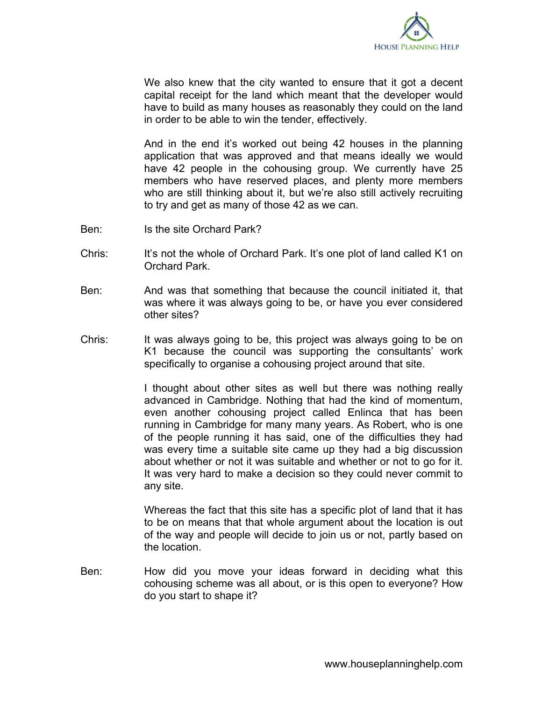

We also knew that the city wanted to ensure that it got a decent capital receipt for the land which meant that the developer would have to build as many houses as reasonably they could on the land in order to be able to win the tender, effectively.

And in the end it's worked out being 42 houses in the planning application that was approved and that means ideally we would have 42 people in the cohousing group. We currently have 25 members who have reserved places, and plenty more members who are still thinking about it, but we're also still actively recruiting to try and get as many of those 42 as we can.

- Ben: Is the site Orchard Park?
- Chris: It's not the whole of Orchard Park. It's one plot of land called K1 on Orchard Park.
- Ben: And was that something that because the council initiated it, that was where it was always going to be, or have you ever considered other sites?
- Chris: It was always going to be, this project was always going to be on K1 because the council was supporting the consultants' work specifically to organise a cohousing project around that site.

I thought about other sites as well but there was nothing really advanced in Cambridge. Nothing that had the kind of momentum, even another cohousing project called Enlinca that has been running in Cambridge for many many years. As Robert, who is one of the people running it has said, one of the difficulties they had was every time a suitable site came up they had a big discussion about whether or not it was suitable and whether or not to go for it. It was very hard to make a decision so they could never commit to any site.

Whereas the fact that this site has a specific plot of land that it has to be on means that that whole argument about the location is out of the way and people will decide to join us or not, partly based on the location.

Ben: How did you move your ideas forward in deciding what this cohousing scheme was all about, or is this open to everyone? How do you start to shape it?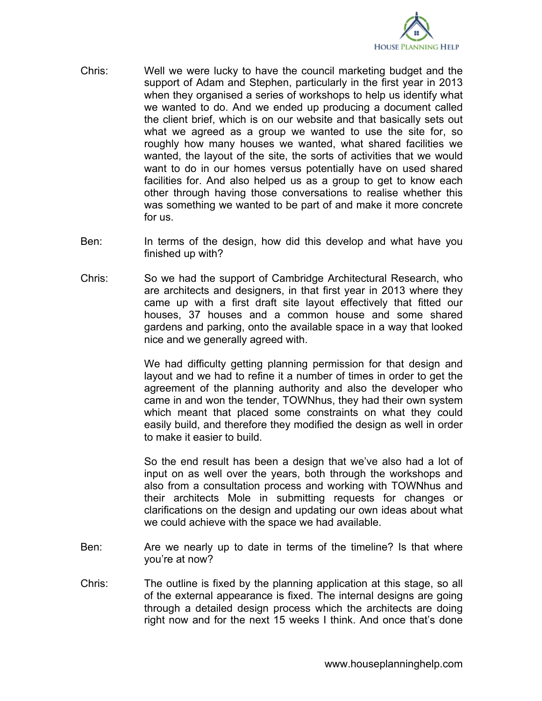

- Chris: Well we were lucky to have the council marketing budget and the support of Adam and Stephen, particularly in the first year in 2013 when they organised a series of workshops to help us identify what we wanted to do. And we ended up producing a document called the client brief, which is on our website and that basically sets out what we agreed as a group we wanted to use the site for, so roughly how many houses we wanted, what shared facilities we wanted, the layout of the site, the sorts of activities that we would want to do in our homes versus potentially have on used shared facilities for. And also helped us as a group to get to know each other through having those conversations to realise whether this was something we wanted to be part of and make it more concrete for us.
- Ben: In terms of the design, how did this develop and what have you finished up with?
- Chris: So we had the support of Cambridge Architectural Research, who are architects and designers, in that first year in 2013 where they came up with a first draft site layout effectively that fitted our houses, 37 houses and a common house and some shared gardens and parking, onto the available space in a way that looked nice and we generally agreed with.

We had difficulty getting planning permission for that design and layout and we had to refine it a number of times in order to get the agreement of the planning authority and also the developer who came in and won the tender, TOWNhus, they had their own system which meant that placed some constraints on what they could easily build, and therefore they modified the design as well in order to make it easier to build.

So the end result has been a design that we've also had a lot of input on as well over the years, both through the workshops and also from a consultation process and working with TOWNhus and their architects Mole in submitting requests for changes or clarifications on the design and updating our own ideas about what we could achieve with the space we had available.

- Ben: Are we nearly up to date in terms of the timeline? Is that where you're at now?
- Chris: The outline is fixed by the planning application at this stage, so all of the external appearance is fixed. The internal designs are going through a detailed design process which the architects are doing right now and for the next 15 weeks I think. And once that's done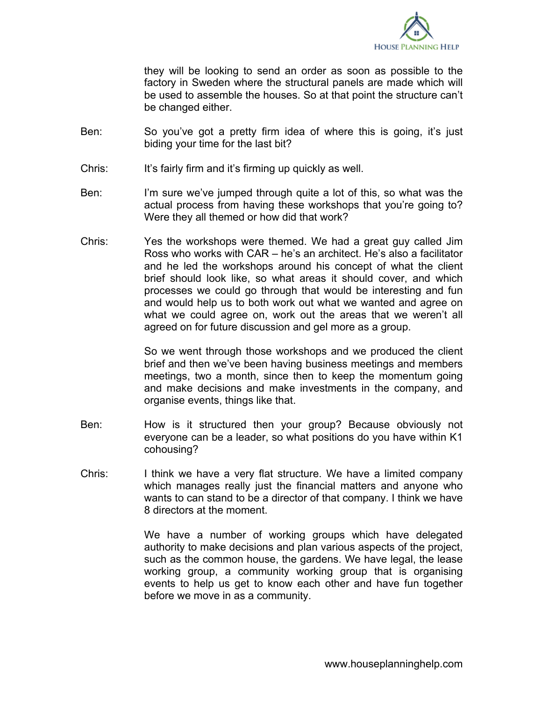

they will be looking to send an order as soon as possible to the factory in Sweden where the structural panels are made which will be used to assemble the houses. So at that point the structure can't be changed either.

- Ben: So you've got a pretty firm idea of where this is going, it's just biding your time for the last bit?
- Chris: It's fairly firm and it's firming up quickly as well.
- Ben: I'm sure we've jumped through quite a lot of this, so what was the actual process from having these workshops that you're going to? Were they all themed or how did that work?
- Chris: Yes the workshops were themed. We had a great guy called Jim Ross who works with CAR – he's an architect. He's also a facilitator and he led the workshops around his concept of what the client brief should look like, so what areas it should cover, and which processes we could go through that would be interesting and fun and would help us to both work out what we wanted and agree on what we could agree on, work out the areas that we weren't all agreed on for future discussion and gel more as a group.

So we went through those workshops and we produced the client brief and then we've been having business meetings and members meetings, two a month, since then to keep the momentum going and make decisions and make investments in the company, and organise events, things like that.

- Ben: How is it structured then your group? Because obviously not everyone can be a leader, so what positions do you have within K1 cohousing?
- Chris: I think we have a very flat structure. We have a limited company which manages really just the financial matters and anyone who wants to can stand to be a director of that company. I think we have 8 directors at the moment.

We have a number of working groups which have delegated authority to make decisions and plan various aspects of the project, such as the common house, the gardens. We have legal, the lease working group, a community working group that is organising events to help us get to know each other and have fun together before we move in as a community.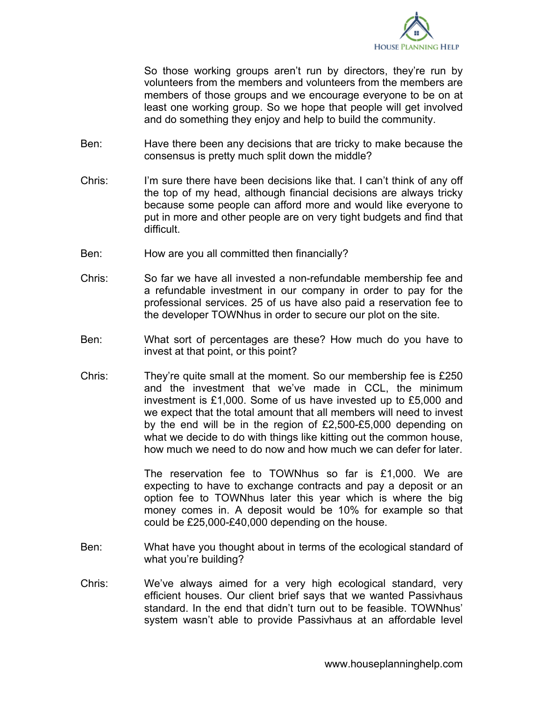

So those working groups aren't run by directors, they're run by volunteers from the members and volunteers from the members are members of those groups and we encourage everyone to be on at least one working group. So we hope that people will get involved and do something they enjoy and help to build the community.

- Ben: Have there been any decisions that are tricky to make because the consensus is pretty much split down the middle?
- Chris: I'm sure there have been decisions like that. I can't think of any off the top of my head, although financial decisions are always tricky because some people can afford more and would like everyone to put in more and other people are on very tight budgets and find that difficult.
- Ben: How are you all committed then financially?
- Chris: So far we have all invested a non-refundable membership fee and a refundable investment in our company in order to pay for the professional services. 25 of us have also paid a reservation fee to the developer TOWNhus in order to secure our plot on the site.
- Ben: What sort of percentages are these? How much do you have to invest at that point, or this point?
- Chris: They're quite small at the moment. So our membership fee is £250 and the investment that we've made in CCL, the minimum investment is £1,000. Some of us have invested up to £5,000 and we expect that the total amount that all members will need to invest by the end will be in the region of £2,500-£5,000 depending on what we decide to do with things like kitting out the common house, how much we need to do now and how much we can defer for later.

The reservation fee to TOWNhus so far is £1,000. We are expecting to have to exchange contracts and pay a deposit or an option fee to TOWNhus later this year which is where the big money comes in. A deposit would be 10% for example so that could be £25,000-£40,000 depending on the house.

- Ben: What have you thought about in terms of the ecological standard of what you're building?
- Chris: We've always aimed for a very high ecological standard, very efficient houses. Our client brief says that we wanted Passivhaus standard. In the end that didn't turn out to be feasible. TOWNhus' system wasn't able to provide Passivhaus at an affordable level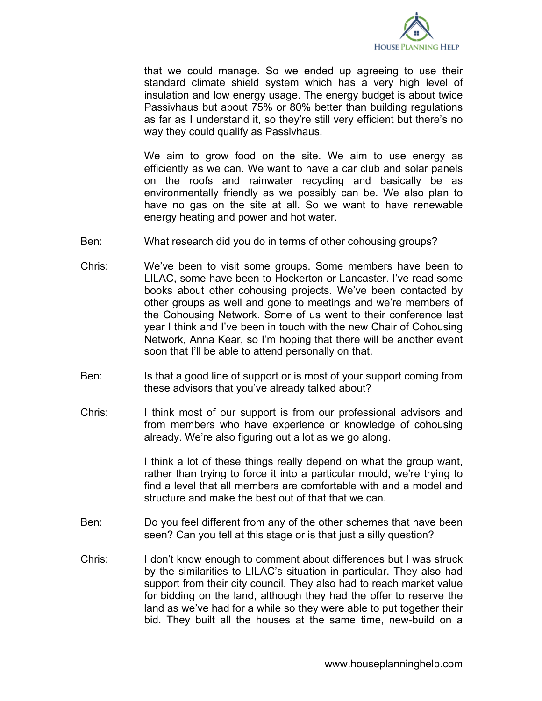

that we could manage. So we ended up agreeing to use their standard climate shield system which has a very high level of insulation and low energy usage. The energy budget is about twice Passivhaus but about 75% or 80% better than building regulations as far as I understand it, so they're still very efficient but there's no way they could qualify as Passivhaus.

We aim to grow food on the site. We aim to use energy as efficiently as we can. We want to have a car club and solar panels on the roofs and rainwater recycling and basically be as environmentally friendly as we possibly can be. We also plan to have no gas on the site at all. So we want to have renewable energy heating and power and hot water.

- Ben: What research did you do in terms of other cohousing groups?
- Chris: We've been to visit some groups. Some members have been to LILAC, some have been to Hockerton or Lancaster. I've read some books about other cohousing projects. We've been contacted by other groups as well and gone to meetings and we're members of the Cohousing Network. Some of us went to their conference last year I think and I've been in touch with the new Chair of Cohousing Network, Anna Kear, so I'm hoping that there will be another event soon that I'll be able to attend personally on that.
- Ben: Is that a good line of support or is most of your support coming from these advisors that you've already talked about?
- Chris: I think most of our support is from our professional advisors and from members who have experience or knowledge of cohousing already. We're also figuring out a lot as we go along.

I think a lot of these things really depend on what the group want, rather than trying to force it into a particular mould, we're trying to find a level that all members are comfortable with and a model and structure and make the best out of that that we can.

- Ben: Do you feel different from any of the other schemes that have been seen? Can you tell at this stage or is that just a silly question?
- Chris: I don't know enough to comment about differences but I was struck by the similarities to LILAC's situation in particular. They also had support from their city council. They also had to reach market value for bidding on the land, although they had the offer to reserve the land as we've had for a while so they were able to put together their bid. They built all the houses at the same time, new-build on a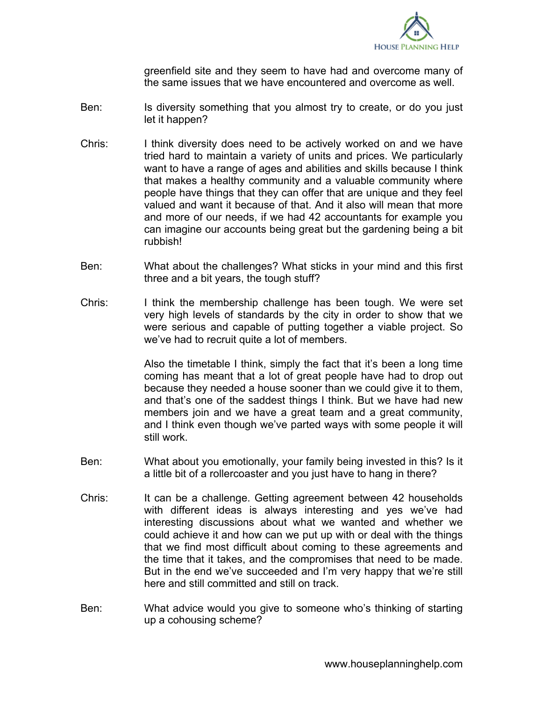

greenfield site and they seem to have had and overcome many of the same issues that we have encountered and overcome as well.

- Ben: Is diversity something that you almost try to create, or do you just let it happen?
- Chris: I think diversity does need to be actively worked on and we have tried hard to maintain a variety of units and prices. We particularly want to have a range of ages and abilities and skills because I think that makes a healthy community and a valuable community where people have things that they can offer that are unique and they feel valued and want it because of that. And it also will mean that more and more of our needs, if we had 42 accountants for example you can imagine our accounts being great but the gardening being a bit rubbish!
- Ben: What about the challenges? What sticks in your mind and this first three and a bit years, the tough stuff?
- Chris: I think the membership challenge has been tough. We were set very high levels of standards by the city in order to show that we were serious and capable of putting together a viable project. So we've had to recruit quite a lot of members.

Also the timetable I think, simply the fact that it's been a long time coming has meant that a lot of great people have had to drop out because they needed a house sooner than we could give it to them, and that's one of the saddest things I think. But we have had new members join and we have a great team and a great community, and I think even though we've parted ways with some people it will still work.

- Ben: What about you emotionally, your family being invested in this? Is it a little bit of a rollercoaster and you just have to hang in there?
- Chris: It can be a challenge. Getting agreement between 42 households with different ideas is always interesting and yes we've had interesting discussions about what we wanted and whether we could achieve it and how can we put up with or deal with the things that we find most difficult about coming to these agreements and the time that it takes, and the compromises that need to be made. But in the end we've succeeded and I'm very happy that we're still here and still committed and still on track.
- Ben: What advice would you give to someone who's thinking of starting up a cohousing scheme?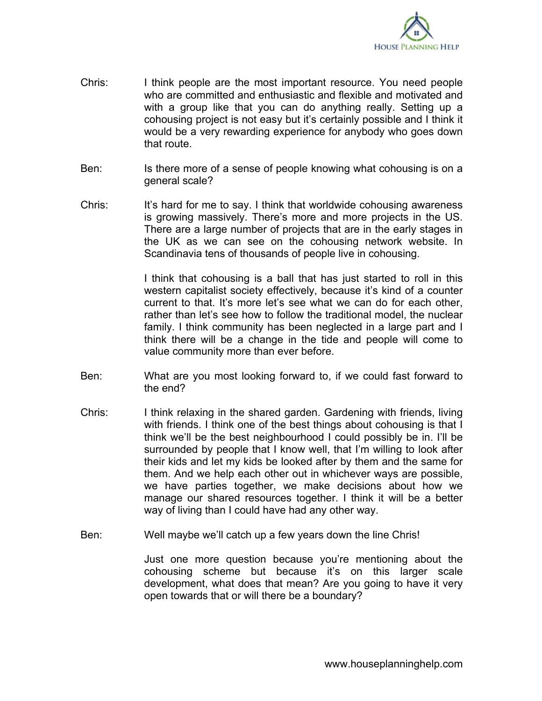

- Chris: I think people are the most important resource. You need people who are committed and enthusiastic and flexible and motivated and with a group like that you can do anything really. Setting up a cohousing project is not easy but it's certainly possible and I think it would be a very rewarding experience for anybody who goes down that route.
- Ben: Is there more of a sense of people knowing what cohousing is on a general scale?
- Chris: It's hard for me to say. I think that worldwide cohousing awareness is growing massively. There's more and more projects in the US. There are a large number of projects that are in the early stages in the UK as we can see on the cohousing network website. In Scandinavia tens of thousands of people live in cohousing.

I think that cohousing is a ball that has just started to roll in this western capitalist society effectively, because it's kind of a counter current to that. It's more let's see what we can do for each other, rather than let's see how to follow the traditional model, the nuclear family. I think community has been neglected in a large part and I think there will be a change in the tide and people will come to value community more than ever before.

- Ben: What are you most looking forward to, if we could fast forward to the end?
- Chris: I think relaxing in the shared garden. Gardening with friends, living with friends. I think one of the best things about cohousing is that I think we'll be the best neighbourhood I could possibly be in. I'll be surrounded by people that I know well, that I'm willing to look after their kids and let my kids be looked after by them and the same for them. And we help each other out in whichever ways are possible, we have parties together, we make decisions about how we manage our shared resources together. I think it will be a better way of living than I could have had any other way.
- Ben: Well maybe we'll catch up a few years down the line Chris!

Just one more question because you're mentioning about the cohousing scheme but because it's on this larger scale development, what does that mean? Are you going to have it very open towards that or will there be a boundary?